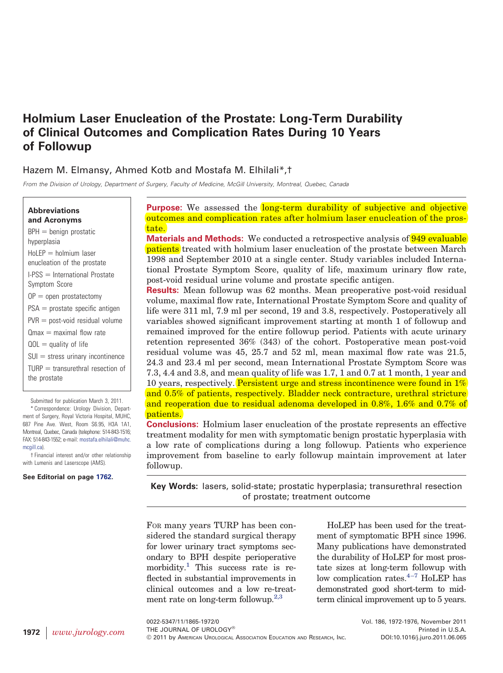# **Holmium Laser Enucleation of the Prostate: Long-Term Durability of Clinical Outcomes and Complication Rates During 10 Years of Followup**

# Hazem M. Elmansy, Ahmed Kotb and Mostafa M. Elhilali\*,†

*From the Division of Urology, Department of Surgery, Faculty of Medicine, McGill University, Montreal, Quebec, Canada*

#### **Abbreviations and Acronyms**

 $BPH =$  benign prostatic hyperplasia  $HoLEP = holmium$  laser enucleation of the prostate  $I-PSS = International Prostate$ Symptom Score  $OP =$  open prostatectomy  $PSA =$  prostate specific antigen  $PVR =$  post-void residual volume  $Q$ max = maximal flow rate  $QOL =$  quality of life  $SUI = stress$  urinary incontinence  $TURP =$  transurethral resection of the prostate

Submitted for publication March 3, 2011.

\* Correspondence: Urology Division, Department of Surgery, Royal Victoria Hospital, MUHC, 687 Pine Ave. West, Room S6.95, H3A 1A1, Montreal, Quebec, Canada (telephone: 514-843-1516; FAX: 514-843-1552; e-mail: [mostafa.elhilali@muhc.](mailto:mostafa.elhilali@muhc.mcgill.ca) [mcgill.ca\)](mailto:mostafa.elhilali@muhc.mcgill.ca).

† Financial interest and/or other relationship with Lumenis and Laserscope (AMS).

#### **See Editorial on page [1762.](http://linkinghub.elsevier.com/retrieve/pii/S0022534711047422)**

**Purpose:** We assessed the long-term durability of subjective and objective outcomes and complication rates after holmium laser enucleation of the prostate.

**Materials and Methods:** We conducted a retrospective analysis of **949 evaluable patients** treated with holmium laser enucleation of the prostate between March 1998 and September 2010 at a single center. Study variables included International Prostate Symptom Score, quality of life, maximum urinary flow rate, post-void residual urine volume and prostate specific antigen.

**Results:** Mean followup was 62 months. Mean preoperative post-void residual volume, maximal flow rate, International Prostate Symptom Score and quality of life were 311 ml, 7.9 ml per second, 19 and 3.8, respectively. Postoperatively all variables showed significant improvement starting at month 1 of followup and remained improved for the entire followup period. Patients with acute urinary retention represented 36% (343) of the cohort. Postoperative mean post-void residual volume was 45, 25.7 and 52 ml, mean maximal flow rate was 21.5, 24.3 and 23.4 ml per second, mean International Prostate Symptom Score was 7.3, 4.4 and 3.8, and mean quality of life was 1.7, 1 and 0.7 at 1 month, 1 year and 10 years, respectively. Persistent urge and stress incontinence were found in  $1\%$ and 0.5% of patients, respectively. Bladder neck contracture, urethral stricture and reoperation due to residual adenoma developed in 0.8%, 1.6% and 0.7% of patients.

**Conclusions:** Holmium laser enucleation of the prostate represents an effective treatment modality for men with symptomatic benign prostatic hyperplasia with a low rate of complications during a long followup. Patients who experience improvement from baseline to early followup maintain improvement at later followup.

**Key Words:** lasers, solid-state; prostatic hyperplasia; transurethral resection of prostate; treatment outcome

FOR many years TURP has been considered the standard surgical therapy for lower urinary tract symptoms secondary to BPH despite perioperative morbidity.<sup>1</sup> This success rate is reflected in substantial improvements in clinical outcomes and a low re-treatment rate on long-term followup. $2,3$ 

HoLEP has been used for the treatment of symptomatic BPH since 1996. Many publications have demonstrated the durability of HoLEP for most prostate sizes at long-term followup with low complication rates. $4-7$  HoLEP has demonstrated good short-term to midterm clinical improvement up to 5 years.

0022-5347/11/1865-1972/0 Vol. 186, 1972-1976, November 2011 THE JOURNAL OF UROLOGY® **Printed in U.S.A.** Printed in U.S.A. © 2011 by AMERICAN UROLOGICAL ASSOCIATION EDUCATION AND RESEARCH, INC. DOI:10.1016/j.juro.2011.06.065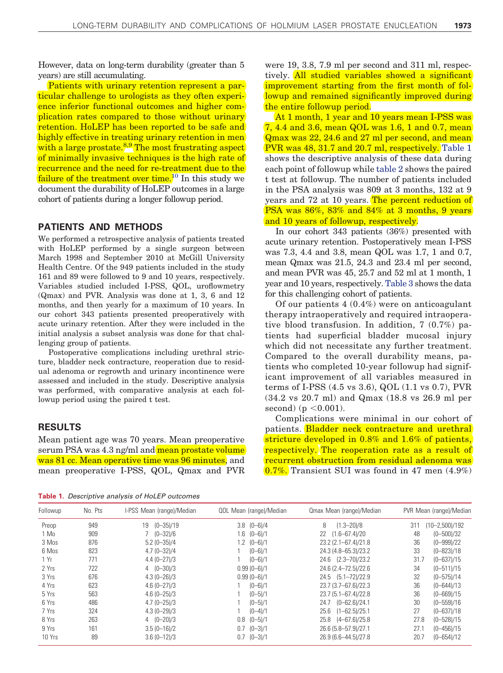However, data on long-term durability (greater than 5 years) are still accumulating.

Patients with urinary retention represent a particular challenge to urologists as they often experience inferior functional outcomes and higher complication rates compared to those without urinary retention. HoLEP has been reported to be safe and highly effective in treating urinary retention in men with a large prostate.<sup>[8,9](#page-4-3)</sup> The most frustrating aspect of minimally invasive techniques is the high rate of recurrence and the need for re-treatment due to the failure of the treatment over time.<sup>10</sup> In this study we document the durability of HoLEP outcomes in a large cohort of patients during a longer followup period.

### **PATIENTS AND METHODS**

We performed a retrospective analysis of patients treated with HoLEP performed by a single surgeon between March 1998 and September 2010 at McGill University Health Centre. Of the 949 patients included in the study 161 and 89 were followed to 9 and 10 years, respectively. Variables studied included I-PSS, QOL, uroflowmetry (Qmax) and PVR. Analysis was done at 1, 3, 6 and 12 months, and then yearly for a maximum of 10 years. In our cohort 343 patients presented preoperatively with acute urinary retention. After they were included in the initial analysis a subset analysis was done for that challenging group of patients.

Postoperative complications including urethral stricture, bladder neck contracture, reoperation due to residual adenoma or regrowth and urinary incontinence were assessed and included in the study. Descriptive analysis was performed, with comparative analysis at each followup period using the paired t test.

## **RESULTS**

Mean patient age was 70 years. Mean preoperative serum PSA was 4.3 ng/ml and mean prostate volume was 81 cc. Mean operative time was 96 minutes, and mean preoperative I-PSS, QOL, Qmax and PVR

were 19, 3.8, 7.9 ml per second and 311 ml, respectively. All studied variables showed a significant improvement starting from the first month of followup and remained significantly improved during the entire followup period.

At 1 month, 1 year and 10 years mean I-PSS was 7, 4.4 and 3.6, mean QOL was 1.6, 1 and 0.7, mean Qmax was 22, 24.6 and 27 ml per second, and mean PVR was 48, 31.7 and 20.7 ml, respectively. [Table 1](#page-1-0) shows the descriptive analysis of these data during each point of followup while [table 2](#page-2-0) shows the paired t test at followup. The number of patients included in the PSA analysis was 809 at 3 months, 132 at 9 years and 72 at 10 years. The percent reduction of PSA was 86%, 83% and 84% at 3 months, 9 years and 10 years of followup, respectively.

In our cohort 343 patients (36%) presented with acute urinary retention. Postoperatively mean I-PSS was 7.3, 4.4 and 3.8, mean QOL was 1.7, 1 and 0.7, mean Qmax was 21.5, 24.3 and 23.4 ml per second, and mean PVR was 45, 25.7 and 52 ml at 1 month, 1 year and 10 years, respectively. [Table 3](#page-2-1) shows the data for this challenging cohort of patients.

Of our patients 4 (0.4%) were on anticoagulant therapy intraoperatively and required intraoperative blood transfusion. In addition, 7 (0.7%) patients had superficial bladder mucosal injury which did not necessitate any further treatment. Compared to the overall durability means, patients who completed 10-year followup had significant improvement of all variables measured in terms of I-PSS (4.5 vs 3.6), QOL (1.1 vs 0.7), PVR (34.2 vs 20.7 ml) and Qmax (18.8 vs 26.9 ml per  $second)$  (p  $< 0.001$ ).

Complications were minimal in our cohort of patients. Bladder neck contracture and urethral stricture developed in 0.8% and 1.6% of patients, respectively. The reoperation rate as a result of recurrent obstruction from residual adenoma was 0.7%. Transient SUI was found in 47 men (4.9%)

<span id="page-1-0"></span>**Table 1.** *Descriptive analysis of HoLEP outcomes*

| Followup | No. Pts | I-PSS Mean (range)/Median | QOL Mean (range)/Median | Qmax Mean (range)/Median | PVR Mean (range)/Median   |
|----------|---------|---------------------------|-------------------------|--------------------------|---------------------------|
| Preop    | 949     | 19 (0-35)/19              | $3.8$ $(0-6)/4$         | 8<br>$(1.3 - 20)/8$      | $(10 - 2,500)/192$<br>311 |
| 1 Mo     | 909     | $7(0-32)/6$               | $1.6(0-6)/1$            | $(1.6 - 67.4)/20$<br>22  | 48<br>$(0 - 500)/32$      |
| 3 Mos    | 876     | $5.2(0 - 35)/4$           | $1.2 \quad (0 - 6)/1$   | 23.2 (2.1-67.4)/21.8     | 36<br>$(0 - 999)/22$      |
| 6 Mos    | 823     | $4.7(0 - 32)/4$           | $(0 - 6)/1$             | 24.3 (4.8-65.3)/23.2     | 33<br>$(0 - 823)/18$      |
| 1 Yr     | 771     | $4.4(0 - 27)/3$           | $(0 - 6)/1$             | 24.6 (2.3-70)/23.2       | 31.7<br>$(0 - 637)/15$    |
| 2 Yrs    | 722     | $4(0-30)/3$               | $0.99(0 - 6)/1$         | 24.6 (2.4-72.5)/22.6     | 34<br>$(0 - 511)/15$      |
| 3 Yrs    | 676     | $4.3(0 - 26)/3$           | $0.99(0 - 6)/1$         | 24.5 (5.1-72)/22.9       | 32<br>$(0 - 575)/14$      |
| 4 Yrs    | 623     | $4.6(0 - 27)/3$           | $(0-6)/1$               | 23.7 (3.7-67.6)/22.3     | 36<br>$(0 - 644)/13$      |
| 5 Yrs    | 563     | $4.6(0 - 25)/3$           | $(0 - 5)/1$             | 23.7 (5.1-67.4)/22.8     | 36<br>$(0 - 669)/15$      |
| 6 Yrs    | 486     | $4.7(0 - 25)/3$           | $(0 - 5)/1$             | 24.7 (0-62.6)/24.1       | 30<br>$(0 - 559)/16$      |
| 7 Yrs    | 324     | $4.3(0 - 29)/3$           | $(0 - 4)/1$             | $25.6$ $(1-62.5)/25.1$   | 27<br>$(0 - 637)/18$      |
| 8 Yrs    | 263     | $4(0-20)/3$               | $0.8$ $(0-5)/1$         | 25.8 (4-67.6)/25.8       | 27.8<br>$(0 - 528)/15$    |
| 9 Yrs    | 161     | $3.5(0-16)/2$             | $0.7$ $(0-3)/1$         | 26.6 (5.8-57.9)/27.1     | 27.1<br>$(0 - 456)/15$    |
| 10 Yrs   | 89      | $3.6(0 - 12)/3$           | $0.7$ $(0-3)/1$         | 26.9 (6.6-44.5)/27.8     | 20.7<br>$(0 - 654)/12$    |
|          |         |                           |                         |                          |                           |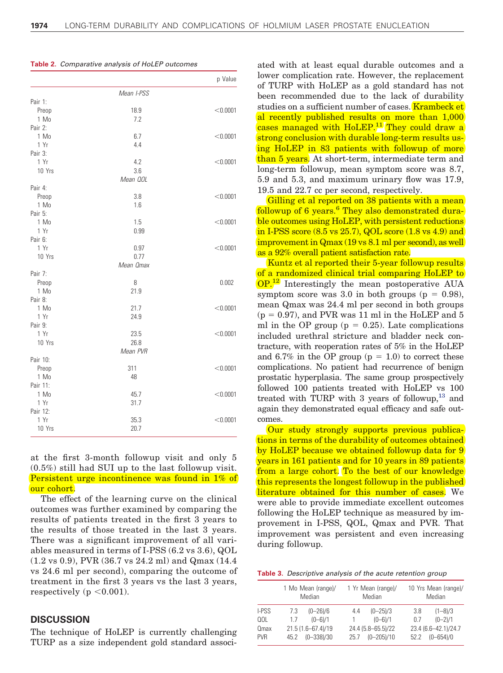|          |            | p Value  |
|----------|------------|----------|
|          | Mean I-PSS |          |
| Pair 1:  |            |          |
| Preop    | 18.9       | < 0.0001 |
| 1 Mo     | 7.2        |          |
| Pair 2:  |            |          |
| 1 Mo     | 6.7        | < 0.0001 |
| 1 Yr     | 4.4        |          |
| Pair 3:  |            |          |
| 1 Yr     | 4.2        | < 0.0001 |
| 10 Yrs   | 3.6        |          |
|          | Mean QOL   |          |
| Pair 4:  |            |          |
| Preop    | 3.8        | < 0.0001 |
| 1 Mo     | 1.6        |          |
| Pair 5:  |            |          |
| 1 Mo     | 1.5        | < 0.0001 |
| 1 Yr     | 0.99       |          |
| Pair 6:  |            |          |
| 1 Yr     | 0.97       | < 0.0001 |
| 10 Yrs   | 0.77       |          |
|          | Mean Omax  |          |
| Pair 7:  |            |          |
| Preop    | 8          | 0.002    |
| 1 Mo     | 21.9       |          |
| Pair 8:  |            |          |
| 1 Mo     | 21.7       | < 0.0001 |
| 1 Yr     | 24.9       |          |
| Pair 9:  |            |          |
| 1 Yr     | 23.5       | < 0.0001 |
| 10 Yrs   | 26.8       |          |
|          | Mean PVR   |          |
| Pair 10: |            |          |
| Preop    | 311        | < 0.0001 |
| 1 Mo     | 48         |          |
| Pair 11: |            |          |
| 1 Mo     | 45.7       | < 0.0001 |
| 1 Yr     | 31.7       |          |
| Pair 12: |            |          |
| 1 Yr     | 35.3       | < 0.0001 |
| 10 Yrs   | 20.7       |          |

<span id="page-2-0"></span>**Table 2.** *Comparative analysis of HoLEP outcomes*

at the first 3-month followup visit and only 5 (0.5%) still had SUI up to the last followup visit. Persistent urge incontinence was found in 1% of our cohort.

The effect of the learning curve on the clinical outcomes was further examined by comparing the results of patients treated in the first 3 years to the results of those treated in the last 3 years. There was a significant improvement of all variables measured in terms of I-PSS (6.2 vs 3.6), QOL (1.2 vs 0.9), PVR (36.7 vs 24.2 ml) and Qmax (14.4 vs 24.6 ml per second), comparing the outcome of treatment in the first 3 years vs the last 3 years,  $respectively (p < 0.001).$ 

## **DISCUSSION**

The technique of HoLEP is currently challenging TURP as a size independent gold standard associ-

ated with at least equal durable outcomes and a lower complication rate. However, the replacement of TURP with HoLEP as a gold standard has not been recommended due to the lack of durability studies on a sufficient number of cases. **Krambeck et** al recently published results on more than 1,000 cases managed with HoLEP.<sup>[11](#page-4-5)</sup> They could draw a strong conclusion with durable long-term results using HoLEP in 83 patients with followup of more than 5 years. At short-term, intermediate term and long-term followup, mean symptom score was 8.7, 5.9 and 5.3, and maximum urinary flow was 17.9, 19.5 and 22.7 cc per second, respectively.

Gilling et al reported on 38 patients with a mean followup of [6](#page-4-6) years.<sup>6</sup> They also demonstrated durable outcomes using HoLEP, with persistent reductions in I-PSS score (8.5 vs 25.7), QOL score (1.8 vs 4.9) and improvement in Qmax (19 vs 8.1 ml per second), as well as a 92% overall patient satisfaction rate.

Kuntz et al reported their 5-year followup results of a randomized clinical trial comparing HoLEP to **OP.**<sup>12</sup> Interestingly the mean postoperative AUA symptom score was 3.0 in both groups ( $p = 0.98$ ), mean Qmax was 24.4 ml per second in both groups  $(p = 0.97)$ , and PVR was 11 ml in the HoLEP and 5 ml in the OP group ( $p = 0.25$ ). Late complications included urethral stricture and bladder neck contracture, with reoperation rates of 5% in the HoLEP and 6.7% in the OP group  $(p = 1.0)$  to correct these complications. No patient had recurrence of benign prostatic hyperplasia. The same group prospectively followed 100 patients treated with HoLEP vs 100 treated with TURP with 3 years of followup, $^{13}$  and again they demonstrated equal efficacy and safe outcomes.

Our study strongly supports previous publications in terms of the durability of outcomes obtained by HoLEP because we obtained followup data for 9 years in 161 patients and for 10 years in 89 patients from a large cohort. To the best of our knowledge this represents the longest followup in the published literature obtained for this number of cases. We were able to provide immediate excellent outcomes following the HoLEP technique as measured by improvement in I-PSS, QOL, Qmax and PVR. That improvement was persistent and even increasing during followup.

<span id="page-2-1"></span>

|  | Table 3. Descriptive analysis of the acute retention group |  |  |  |  |  |
|--|------------------------------------------------------------|--|--|--|--|--|
|--|------------------------------------------------------------|--|--|--|--|--|

| 1 Mo Mean (range)/<br>Median |              | 1 Yr Mean (range)/<br>Median          |                | 10 Yrs Mean (range)/<br>Median |                                       |
|------------------------------|--------------|---------------------------------------|----------------|--------------------------------|---------------------------------------|
| 7.3                          | $(0 - 26)/6$ | 4.4                                   | $(0 - 25)/3$   | 3.8                            | $(1 - 8)/3$                           |
| 1.7                          | $(0 - 6)/1$  | -1                                    | $(0 - 6)/1$    | 0.7                            | $(0 - 2)/1$                           |
|                              |              | 25.7                                  | $(0 - 205)/10$ | 52.2                           | 23.4 (6.6-42.1)/24.7<br>$(0 - 654)/0$ |
|                              |              | 21.5 (1.6-67.4)/19<br>45.2 (0-338)/30 |                | 24.4 (5.8-65.5)/22             |                                       |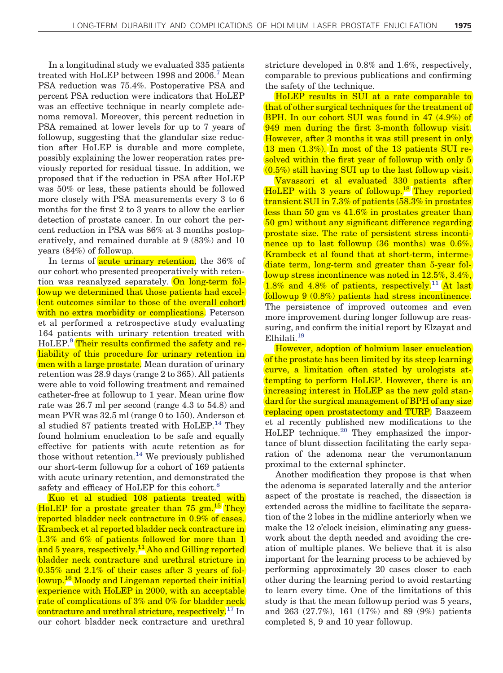In a longitudinal study we evaluated 335 patients treated with HoLEP between 1998 and 2006.<sup>[7](#page-4-9)</sup> Mean PSA reduction was 75.4%. Postoperative PSA and percent PSA reduction were indicators that HoLEP was an effective technique in nearly complete adenoma removal. Moreover, this percent reduction in PSA remained at lower levels for up to 7 years of followup, suggesting that the glandular size reduction after HoLEP is durable and more complete, possibly explaining the lower reoperation rates previously reported for residual tissue. In addition, we proposed that if the reduction in PSA after HoLEP was 50% or less, these patients should be followed more closely with PSA measurements every 3 to 6 months for the first 2 to 3 years to allow the earlier detection of prostate cancer. In our cohort the percent reduction in PSA was 86% at 3 months postoperatively, and remained durable at 9 (83%) and 10 years (84%) of followup.

In terms of **acute urinary retention**, the 36% of our cohort who presented preoperatively with retention was reanalyzed separately. On long-term followup we determined that those patients had excellent outcomes similar to those of the overall cohort with no extra morbidity or complications. Peterson et al performed a retrospective study evaluating 164 patients with urinary retention treated with HoLEP.<sup>[9](#page-4-10)</sup> Their results confirmed the safety and reliability of this procedure for urinary retention in men with a large prostate. Mean duration of urinary retention was 28.9 days (range 2 to 365). All patients were able to void following treatment and remained catheter-free at followup to 1 year. Mean urine flow rate was 26.7 ml per second (range 4.3 to 54.8) and mean PVR was 32.5 ml (range 0 to 150). Anderson et al studied 87 patients treated with  $HoLEP<sup>14</sup>$ . They found holmium enucleation to be safe and equally effective for patients with acute retention as for those without retention.<sup>[14](#page-4-11)</sup> We previously published our short-term followup for a cohort of 169 patients with acute urinary retention, and demonstrated the safety and efficacy of HoLEP for this cohort.<sup>[8](#page-4-3)</sup>

Kuo et al studied 108 patients treated with HoLEP for a prostate greater than 75 gm.<sup>[15](#page-4-12)</sup> They reported bladder neck contracture in 0.9% of cases. Krambeck et al reported bladder neck contracture in 1.3% and 6% of patients followed for more than 1 and 5 years, respectively.<sup>11</sup> Aho and Gilling reported bladder neck contracture and urethral stricture in 0.35% and 2.1% of their cases after 3 years of fol-lowup.<sup>[16](#page-4-13)</sup> Moody and Lingeman reported their initial experience with HoLEP in 2000, with an acceptable rate of complications of 3% and 0% for bladder neck contracture and urethral stricture, respectively.<sup>[17](#page-4-14)</sup> In our cohort bladder neck contracture and urethral

stricture developed in 0.8% and 1.6%, respectively, comparable to previous publications and confirming the safety of the technique.

HoLEP results in SUI at a rate comparable to that of other surgical techniques for the treatment of BPH. In our cohort SUI was found in 47 (4.9%) of 949 men during the first 3-month followup visit. However, after 3 months it was still present in only 13 men (1.3%). In most of the 13 patients SUI resolved within the first year of followup with only 5 (0.5%) still having SUI up to the last followup visit.

Vavassori et al evaluated 330 patients after HoLEP with 3 years of followup.<sup>[18](#page-4-15)</sup> They reported transient SUI in 7.3% of patients (58.3% in prostates less than 50 gm vs 41.6% in prostates greater than 50 gm) without any significant difference regarding prostate size. The rate of persistent stress incontinence up to last followup (36 months) was 0.6%. Krambeck et al found that at short-term, intermediate term, long-term and greater than 5-year followup stress incontinence was noted in 12.5%, 3.4%, 1.8% and 4.8% of patients, respectively.<sup>11</sup> At last followup 9 (0.8%) patients had stress incontinence. The persistence of improved outcomes and even more improvement during longer followup are reassuring, and confirm the initial report by Elzayat and Elhilali[.19](#page-4-16)

However, adoption of holmium laser enucleation of the prostate has been limited by its steep learning curve, a limitation often stated by urologists attempting to perform HoLEP. However, there is an increasing interest in HoLEP as the new gold standard for the surgical management of BPH of any size replacing open prostatectomy and TURP. Baazeem et al recently published new modifications to the HoLEP technique.<sup>20</sup> They emphasized the importance of blunt dissection facilitating the early separation of the adenoma near the verumontanum proximal to the external sphincter.

Another modification they propose is that when the adenoma is separated laterally and the anterior aspect of the prostate is reached, the dissection is extended across the midline to facilitate the separation of the 2 lobes in the midline anteriorly when we make the 12 o'clock incision, eliminating any guesswork about the depth needed and avoiding the creation of multiple planes. We believe that it is also important for the learning process to be achieved by performing approximately 20 cases closer to each other during the learning period to avoid restarting to learn every time. One of the limitations of this study is that the mean followup period was 5 years, and 263 (27.7%), 161 (17%) and 89 (9%) patients completed 8, 9 and 10 year followup.